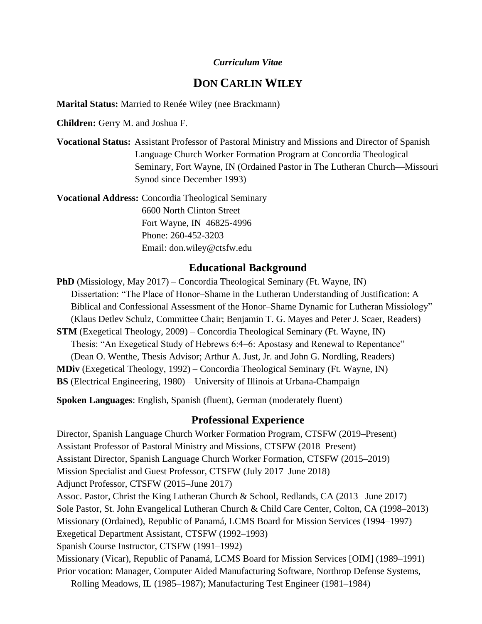## *Curriculum Vitae*

# **DON CARLIN WILEY**

**Marital Status:** Married to Renée Wiley (nee Brackmann)

**Children:** Gerry M. and Joshua F.

**Vocational Status:** Assistant Professor of Pastoral Ministry and Missions and Director of Spanish Language Church Worker Formation Program at Concordia Theological Seminary, Fort Wayne, IN (Ordained Pastor in The Lutheran Church—Missouri Synod since December 1993)

**Vocational Address:** Concordia Theological Seminary 6600 North Clinton Street Fort Wayne, IN 46825-4996 Phone: 260-452-3203 Email: don.wiley@ctsfw.edu

## **Educational Background**

**PhD** (Missiology, May 2017) – Concordia Theological Seminary (Ft. Wayne, IN) Dissertation: "The Place of Honor–Shame in the Lutheran Understanding of Justification: A Biblical and Confessional Assessment of the Honor–Shame Dynamic for Lutheran Missiology" (Klaus Detlev Schulz, Committee Chair; Benjamin T. G. Mayes and Peter J. Scaer, Readers) **STM** (Exegetical Theology, 2009) – Concordia Theological Seminary (Ft. Wayne, IN) Thesis: "An Exegetical Study of Hebrews 6:4–6: Apostasy and Renewal to Repentance" (Dean O. Wenthe, Thesis Advisor; Arthur A. Just, Jr. and John G. Nordling, Readers) **MDiv** (Exegetical Theology, 1992) – Concordia Theological Seminary (Ft. Wayne, IN) **BS** (Electrical Engineering, 1980) – University of Illinois at Urbana-Champaign

**Spoken Languages**: English, Spanish (fluent), German (moderately fluent)

### **Professional Experience**

Director, Spanish Language Church Worker Formation Program, CTSFW (2019–Present) Assistant Professor of Pastoral Ministry and Missions, CTSFW (2018–Present) Assistant Director, Spanish Language Church Worker Formation, CTSFW (2015–2019) Mission Specialist and Guest Professor, CTSFW (July 2017–June 2018) Adjunct Professor, CTSFW (2015–June 2017) Assoc. Pastor, Christ the King Lutheran Church & School, Redlands, CA (2013– June 2017) Sole Pastor, St. John Evangelical Lutheran Church & Child Care Center, Colton, CA (1998–2013) Missionary (Ordained), Republic of Panamá, LCMS Board for Mission Services (1994–1997) Exegetical Department Assistant, CTSFW (1992–1993) Spanish Course Instructor, CTSFW (1991–1992) Missionary (Vicar), Republic of Panamá, LCMS Board for Mission Services [OIM] (1989–1991) Prior vocation: Manager, Computer Aided Manufacturing Software, Northrop Defense Systems,

Rolling Meadows, IL (1985–1987); Manufacturing Test Engineer (1981–1984)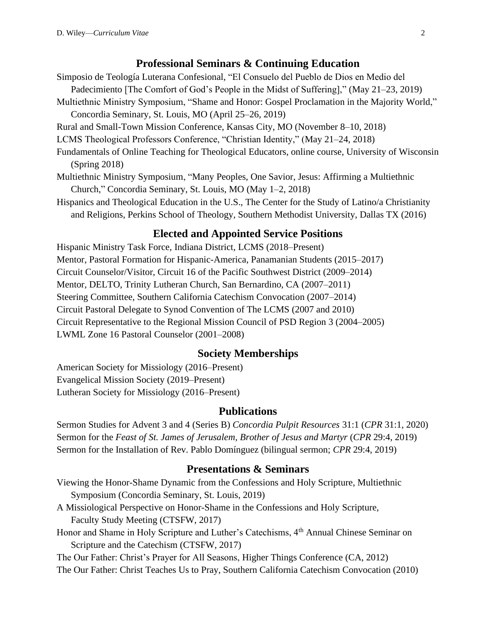#### **Professional Seminars & Continuing Education**

- Simposio de Teología Luterana Confesional, "El Consuelo del Pueblo de Dios en Medio del Padecimiento [The Comfort of God's People in the Midst of Suffering]," (May 21–23, 2019)
- Multiethnic Ministry Symposium, "Shame and Honor: Gospel Proclamation in the Majority World," Concordia Seminary, St. Louis, MO (April 25–26, 2019)
- Rural and Small-Town Mission Conference, Kansas City, MO (November 8–10, 2018)
- LCMS Theological Professors Conference, "Christian Identity," (May 21–24, 2018)
- Fundamentals of Online Teaching for Theological Educators, online course, University of Wisconsin (Spring 2018)
- Multiethnic Ministry Symposium, "Many Peoples, One Savior, Jesus: Affirming a Multiethnic Church," Concordia Seminary, St. Louis, MO (May 1–2, 2018)
- Hispanics and Theological Education in the U.S., The Center for the Study of Latino/a Christianity and Religions, Perkins School of Theology, Southern Methodist University, Dallas TX (2016)

#### **Elected and Appointed Service Positions**

Hispanic Ministry Task Force, Indiana District, LCMS (2018–Present) Mentor, Pastoral Formation for Hispanic-America, Panamanian Students (2015–2017) Circuit Counselor/Visitor, Circuit 16 of the Pacific Southwest District (2009–2014) Mentor, DELTO, Trinity Lutheran Church, San Bernardino, CA (2007–2011) Steering Committee, Southern California Catechism Convocation (2007–2014) Circuit Pastoral Delegate to Synod Convention of The LCMS (2007 and 2010) Circuit Representative to the Regional Mission Council of PSD Region 3 (2004–2005) LWML Zone 16 Pastoral Counselor (2001–2008)

## **Society Memberships**

American Society for Missiology (2016–Present) Evangelical Mission Society (2019–Present) Lutheran Society for Missiology (2016–Present)

#### **Publications**

Sermon Studies for Advent 3 and 4 (Series B) *Concordia Pulpit Resources* 31:1 (*CPR* 31:1, 2020) Sermon for the *Feast of St. James of Jerusalem, Brother of Jesus and Martyr* (*CPR* 29:4, 2019) Sermon for the Installation of Rev. Pablo Domínguez (bilingual sermon; *CPR* 29:4, 2019)

## **Presentations & Seminars**

- Viewing the Honor-Shame Dynamic from the Confessions and Holy Scripture, Multiethnic Symposium (Concordia Seminary, St. Louis, 2019)
- A Missiological Perspective on Honor-Shame in the Confessions and Holy Scripture, Faculty Study Meeting (CTSFW, 2017)
- Honor and Shame in Holy Scripture and Luther's Catechisms, 4<sup>th</sup> Annual Chinese Seminar on Scripture and the Catechism (CTSFW, 2017)

The Our Father: Christ's Prayer for All Seasons, Higher Things Conference (CA, 2012) The Our Father: Christ Teaches Us to Pray, Southern California Catechism Convocation (2010)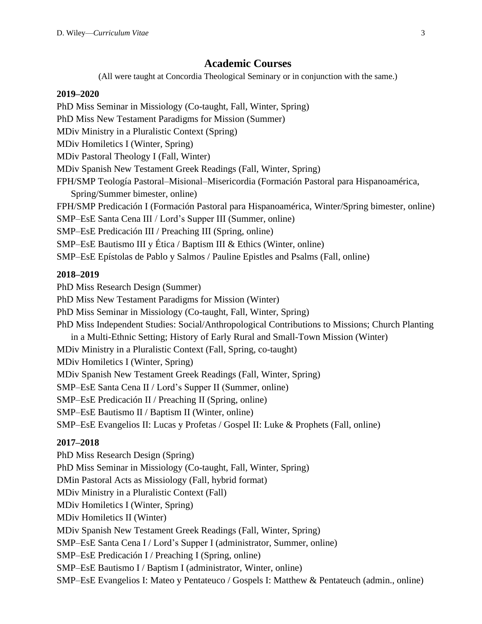#### **Academic Courses**

(All were taught at Concordia Theological Seminary or in conjunction with the same.)

#### **2019–2020**

PhD Miss Seminar in Missiology (Co-taught, Fall, Winter, Spring) PhD Miss New Testament Paradigms for Mission (Summer) MDiv Ministry in a Pluralistic Context (Spring) MDiv Homiletics I (Winter, Spring) MDiv Pastoral Theology I (Fall, Winter) MDiv Spanish New Testament Greek Readings (Fall, Winter, Spring) FPH/SMP Teología Pastoral–Misional–Misericordia (Formación Pastoral para Hispanoamérica, Spring/Summer bimester, online) FPH/SMP Predicación I (Formación Pastoral para Hispanoamérica, Winter/Spring bimester, online) SMP–EsE Santa Cena III / Lord's Supper III (Summer, online) SMP–EsE Predicación III / Preaching III (Spring, online) SMP–EsE Bautismo III y Ética / Baptism III & Ethics (Winter, online) SMP–EsE Epístolas de Pablo y Salmos / Pauline Epistles and Psalms (Fall, online)

### **2018–2019**

PhD Miss Research Design (Summer) PhD Miss New Testament Paradigms for Mission (Winter) PhD Miss Seminar in Missiology (Co-taught, Fall, Winter, Spring) PhD Miss Independent Studies: Social/Anthropological Contributions to Missions; Church Planting in a Multi-Ethnic Setting; History of Early Rural and Small-Town Mission (Winter) MDiv Ministry in a Pluralistic Context (Fall, Spring, co-taught) MDiv Homiletics I (Winter, Spring) MDiv Spanish New Testament Greek Readings (Fall, Winter, Spring) SMP–EsE Santa Cena II / Lord's Supper II (Summer, online) SMP–EsE Predicación II / Preaching II (Spring, online) SMP–EsE Bautismo II / Baptism II (Winter, online) SMP–EsE Evangelios II: Lucas y Profetas / Gospel II: Luke & Prophets (Fall, online)

#### **2017–2018**

PhD Miss Research Design (Spring) PhD Miss Seminar in Missiology (Co-taught, Fall, Winter, Spring) DMin Pastoral Acts as Missiology (Fall, hybrid format) MDiv Ministry in a Pluralistic Context (Fall) MDiv Homiletics I (Winter, Spring) MDiv Homiletics II (Winter) MDiv Spanish New Testament Greek Readings (Fall, Winter, Spring) SMP–EsE Santa Cena I / Lord's Supper I (administrator, Summer, online) SMP–EsE Predicación I / Preaching I (Spring, online) SMP–EsE Bautismo I / Baptism I (administrator, Winter, online) SMP–EsE Evangelios I: Mateo y Pentateuco / Gospels I: Matthew & Pentateuch (admin., online)